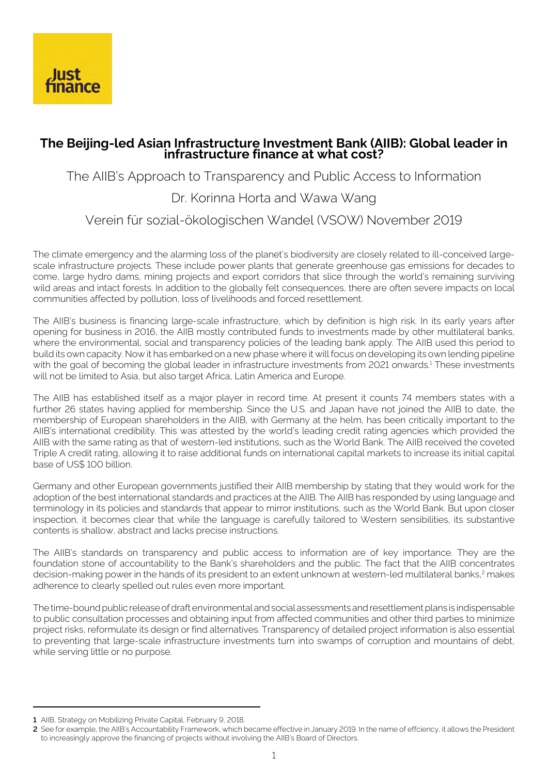

# **The Beijing-led Asian Infrastructure Investment Bank (AIIB): Global leader in infrastructure finance at what cost?**

The AIIB's Approach to Transparency and Public Access to Information

# Dr. Korinna Horta and Wawa Wang

Verein für sozial-ökologischen Wandel (VSOW) November 2019

The climate emergency and the alarming loss of the planet's biodiversity are closely related to ill-conceived largescale infrastructure projects. These include power plants that generate greenhouse gas emissions for decades to come, large hydro dams, mining projects and export corridors that slice through the world's remaining surviving wild areas and intact forests. In addition to the globally felt consequences, there are often severe impacts on local communities affected by pollution, loss of livelihoods and forced resettlement.

The AIIB's business is financing large-scale infrastructure, which by definition is high risk. In its early years after opening for business in 2016, the AIIB mostly contributed funds to investments made by other multilateral banks, where the environmental, social and transparency policies of the leading bank apply. The AIIB used this period to build its own capacity. Now it has embarked on a new phase where it will focus on developing its own lending pipeline with the goal of becoming the global leader in infrastructure investments from 2021 onwards.<sup>1</sup> These investments will not be limited to Asia, but also target Africa, Latin America and Europe.

The AIIB has established itself as a major player in record time. At present it counts 74 members states with a further 26 states having applied for membership. Since the U.S. and Japan have not joined the AIIB to date, the membership of European shareholders in the AIIB, with Germany at the helm, has been critically important to the AIIB's international credibility. This was attested by the world's leading credit rating agencies which provided the AIIB with the same rating as that of western-led institutions, such as the World Bank. The AIIB received the coveted Triple A credit rating, allowing it to raise additional funds on international capital markets to increase its initial capital base of US\$ 100 billion.

Germany and other European governments justified their AIIB membership by stating that they would work for the adoption of the best international standards and practices at the AIIB. The AIIB has responded by using language and terminology in its policies and standards that appear to mirror institutions, such as the World Bank. But upon closer inspection, it becomes clear that while the language is carefully tailored to Western sensibilities, its substantive contents is shallow, abstract and lacks precise instructions.

The AIIB's standards on transparency and public access to information are of key importance. They are the foundation stone of accountability to the Bank's shareholders and the public. The fact that the AIIB concentrates decision-making power in the hands of its president to an extent unknown at western-led multilateral banks,<sup>2</sup> makes adherence to clearly spelled out rules even more important.

The time-bound public release of draft environmental and social assessments and resettlement plans is indispensable to public consultation processes and obtaining input from affected communities and other third parties to minimize project risks, reformulate its design or find alternatives. Transparency of detailed project information is also essential to preventing that large-scale infrastructure investments turn into swamps of corruption and mountains of debt, while serving little or no purpose.

**<sup>1</sup>** AIIB, Strategy on Mobilizing Private Capital, February 9, 2018.

**<sup>2</sup>** See for example, the AIIB's Accountability Framework, which became effective in January 2019. In the name of effciency, it allows the President to increasingly approve the financing of projects without involving the AIIB's Board of Directors.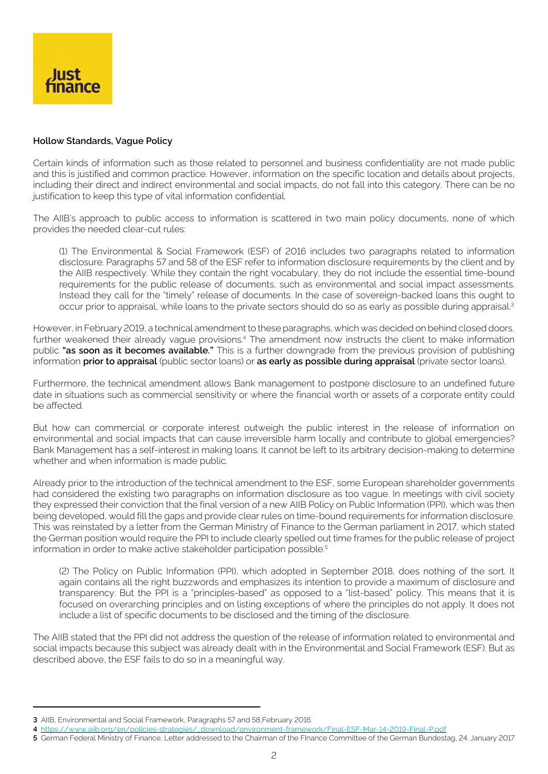

## **Hollow Standards, Vague Policy**

Certain kinds of information such as those related to personnel and business confidentiality are not made public and this is justified and common practice. However, information on the specific location and details about projects, including their direct and indirect environmental and social impacts, do not fall into this category. There can be no justification to keep this type of vital information confidential.

The AIIB's approach to public access to information is scattered in two main policy documents, none of which provides the needed clear-cut rules:

(1) The Environmental & Social Framework (ESF) of 2016 includes two paragraphs related to information disclosure. Paragraphs 57 and 58 of the ESF refer to information disclosure requirements by the client and by the AIIB respectively. While they contain the right vocabulary, they do not include the essential time-bound requirements for the public release of documents, such as environmental and social impact assessments. Instead they call for the "timely" release of documents. In the case of sovereign-backed loans this ought to occur prior to appraisal, while loans to the private sectors should do so as early as possible during appraisal.<sup>3</sup>

However, in February 2019, a technical amendment to these paragraphs, which was decided on behind closed doors, further weakened their already vague provisions.<sup>4</sup> The amendment now instructs the client to make information public **"as soon as it becomes available."** This is a further downgrade from the previous provision of publishing information **prior to appraisal** (public sector loans) or **as early as possible during appraisal** (private sector loans).

Furthermore, the technical amendment allows Bank management to postpone disclosure to an undefined future date in situations such as commercial sensitivity or where the financial worth or assets of a corporate entity could be affected.

But how can commercial or corporate interest outweigh the public interest in the release of information on environmental and social impacts that can cause irreversible harm locally and contribute to global emergencies? Bank Management has a self-interest in making loans. It cannot be left to its arbitrary decision-making to determine whether and when information is made public.

Already prior to the introduction of the technical amendment to the ESF, some European shareholder governments had considered the existing two paragraphs on information disclosure as too vague. In meetings with civil society they expressed their conviction that the final version of a new AIIB Policy on Public Information (PPI), which was then being developed, would fill the gaps and provide clear rules on time-bound requirements for information disclosure. This was reinstated by a letter from the German Ministry of Finance to the German parliament in 2017, which stated the German position would require the PPI to include clearly spelled out time frames for the public release of project information in order to make active stakeholder participation possible.<sup>5</sup>

(2) The Policy on Public Information (PPI), which adopted in September 2018, does nothing of the sort. It again contains all the right buzzwords and emphasizes its intention to provide a maximum of disclosure and transparency. But the PPI is a "principles-based" as opposed to a "list-based" policy. This means that it is focused on overarching principles and on listing exceptions of where the principles do not apply. It does not include a list of specific documents to be disclosed and the timing of the disclosure.

The AIIB stated that the PPI did not address the question of the release of information related to environmental and social impacts because this subject was already dealt with in the Environmental and Social Framework (ESF). But as described above, the ESF fails to do so in a meaningful way.

**<sup>3</sup>** AIIB, Environmental and Social Framework, Paragraphs 57 and 58,February 2016.

**<sup>4</sup>** [https://www.aiib.org/en/policies-strategies/\\_download/environment-framework/Final-ESF-Mar-14-2019-Final-P.pdf](https://www.aiib.org/en/policies-strategies/_download/environment-framework/Final-ESF-Mar-14-2019-Fi)

**<sup>5</sup>** German Federal Ministry of Finance, Letter addressed to the Chairman of the FInance Committee of the German Bundestag, 24. January 2017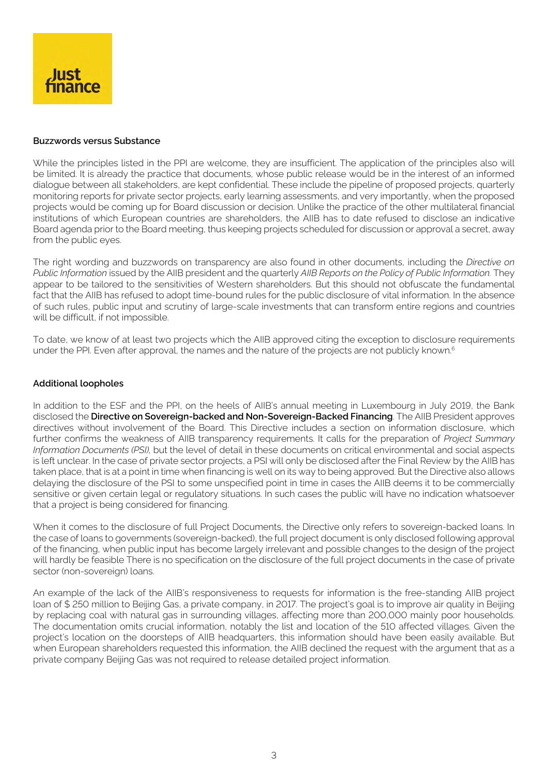

#### **Buzzwords versus Substance**

While the principles listed in the PPI are welcome, they are insufficient. The application of the principles also will be limited. It is already the practice that documents, whose public release would be in the interest of an informed dialogue between all stakeholders, are kept confidential. These include the pipeline of proposed projects, quarterly monitoring reports for private sector projects, early learning assessments, and very importantly, when the proposed projects would be coming up for Board discussion or decision. Unlike the practice of the other multilateral financial institutions of which European countries are shareholders, the AIIB has to date refused to disclose an indicative Board agenda prior to the Board meeting, thus keeping projects scheduled for discussion or approval a secret, away from the public eyes.

The right wording and buzzwords on transparency are also found in other documents, including the *Directive on Public Information* issued by the AIIB president and the quarterly *AIIB Reports on the Policy of Public Information.* They appear to be tailored to the sensitivities of Western shareholders. But this should not obfuscate the fundamental fact that the AIIB has refused to adopt time-bound rules for the public disclosure of vital information. In the absence of such rules, public input and scrutiny of large-scale investments that can transform entire regions and countries will be difficult, if not impossible.

To date, we know of at least two projects which the AIIB approved citing the exception to disclosure requirements under the PPI. Even after approval, the names and the nature of the projects are not publicly known.<sup>6</sup>

## **Additional loopholes**

In addition to the ESF and the PPI, on the heels of AIIB's annual meeting in Luxembourg in July 2019, the Bank disclosed the **Directive on Sovereign-backed and Non-Sovereign-Backed Financing**. The AIIB President approves directives without involvement of the Board. This Directive includes a section on information disclosure, which further confirms the weakness of AIIB transparency requirements. It calls for the preparation of *Project Summary Information Documents (PSI),* but the level of detail in these documents on critical environmental and social aspects is left unclear. In the case of private sector projects, a PSI will only be disclosed after the Final Review by the AIIB has taken place, that is at a point in time when financing is well on its way to being approved. But the Directive also allows delaying the disclosure of the PSI to some unspecified point in time in cases the AIIB deems it to be commercially sensitive or given certain legal or regulatory situations. In such cases the public will have no indication whatsoever that a project is being considered for financing.

When it comes to the disclosure of full Project Documents, the Directive only refers to sovereign-backed loans. In the case of loans to governments (sovereign-backed), the full project document is only disclosed following approval of the financing, when public input has become largely irrelevant and possible changes to the design of the project will hardly be feasible There is no specification on the disclosure of the full project documents in the case of private sector (non-sovereign) loans.

An example of the lack of the AIIB's responsiveness to requests for information is the free-standing AIIB project loan of \$ 250 million to Beijing Gas, a private company, in 2017. The project's goal is to improve air quality in Beijing by replacing coal with natural gas in surrounding villages, affecting more than 200,000 mainly poor households. The documentation omits crucial information, notably the list and location of the 510 affected villages. Given the project's location on the doorsteps of AIIB headquarters, this information should have been easily available. But when European shareholders requested this information, the AIIB declined the request with the argument that as a private company Beijing Gas was not required to release detailed project information.